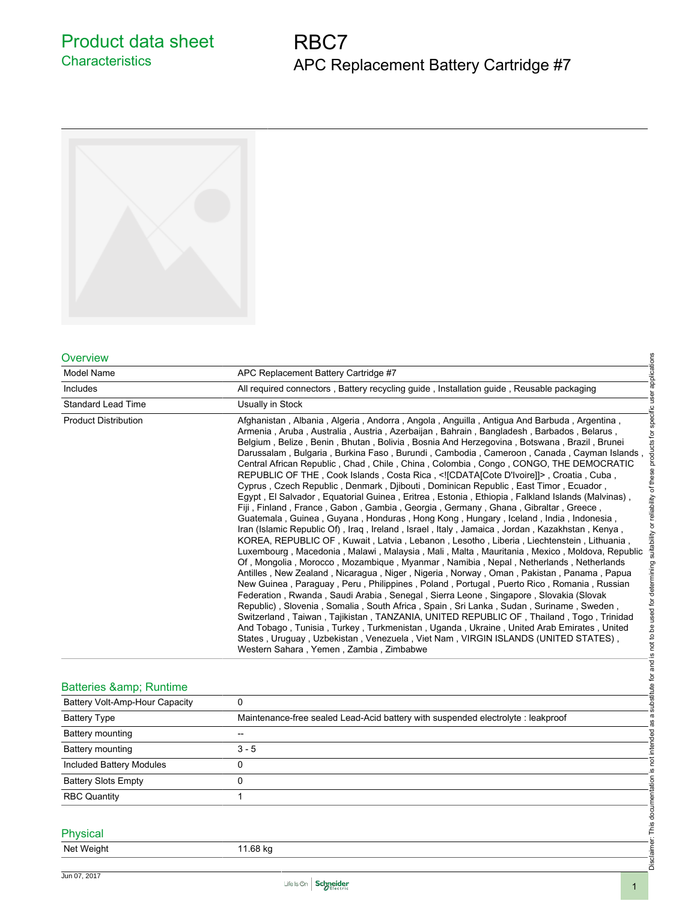Product data sheet **Characteristics** 

# RBC7 APC Replacement Battery Cartridge #7



#### **Overview**

| <b>Overview</b>                 | applications                                                                                                                                                                                                                                                                                                                                                                                                                                                                                                                                                                                                                                                                                                                                                                                                                                                                                                                                                                                                                                                                                                                                                                                                                                                                                                                                                                                                                                                                                                                                                                                                                                                                                                                                                                                                                                                                                                                                                                                                                                                                                                                              |  |
|---------------------------------|-------------------------------------------------------------------------------------------------------------------------------------------------------------------------------------------------------------------------------------------------------------------------------------------------------------------------------------------------------------------------------------------------------------------------------------------------------------------------------------------------------------------------------------------------------------------------------------------------------------------------------------------------------------------------------------------------------------------------------------------------------------------------------------------------------------------------------------------------------------------------------------------------------------------------------------------------------------------------------------------------------------------------------------------------------------------------------------------------------------------------------------------------------------------------------------------------------------------------------------------------------------------------------------------------------------------------------------------------------------------------------------------------------------------------------------------------------------------------------------------------------------------------------------------------------------------------------------------------------------------------------------------------------------------------------------------------------------------------------------------------------------------------------------------------------------------------------------------------------------------------------------------------------------------------------------------------------------------------------------------------------------------------------------------------------------------------------------------------------------------------------------------|--|
| Model Name                      | APC Replacement Battery Cartridge #7                                                                                                                                                                                                                                                                                                                                                                                                                                                                                                                                                                                                                                                                                                                                                                                                                                                                                                                                                                                                                                                                                                                                                                                                                                                                                                                                                                                                                                                                                                                                                                                                                                                                                                                                                                                                                                                                                                                                                                                                                                                                                                      |  |
| Includes                        | All required connectors, Battery recycling quide, Installation quide, Reusable packaging                                                                                                                                                                                                                                                                                                                                                                                                                                                                                                                                                                                                                                                                                                                                                                                                                                                                                                                                                                                                                                                                                                                                                                                                                                                                                                                                                                                                                                                                                                                                                                                                                                                                                                                                                                                                                                                                                                                                                                                                                                                  |  |
| <b>Standard Lead Time</b>       | Usually in Stock                                                                                                                                                                                                                                                                                                                                                                                                                                                                                                                                                                                                                                                                                                                                                                                                                                                                                                                                                                                                                                                                                                                                                                                                                                                                                                                                                                                                                                                                                                                                                                                                                                                                                                                                                                                                                                                                                                                                                                                                                                                                                                                          |  |
| <b>Product Distribution</b>     | substitute for and is not to be used for determining suitability or reliability of these products for specific user<br>Afghanistan, Albania, Algeria, Andorra, Angola, Anguilla, Antigua And Barbuda, Argentina,<br>Armenia, Aruba, Australia, Austria, Azerbaijan, Bahrain, Bangladesh, Barbados, Belarus,<br>Belgium, Belize, Benin, Bhutan, Bolivia, Bosnia And Herzegovina, Botswana, Brazil, Brunei<br>Darussalam, Bulgaria, Burkina Faso, Burundi, Cambodia, Cameroon, Canada, Cayman Islands,<br>Central African Republic, Chad, Chile, China, Colombia, Congo, CONGO, THE DEMOCRATIC<br>REPUBLIC OF THE, Cook Islands, Costa Rica, [CDATA]Cote D'Ivoire] , Croatia, Cuba,<br>Cyprus, Czech Republic, Denmark, Djibouti, Dominican Republic, East Timor, Ecuador,<br>Egypt, El Salvador, Equatorial Guinea, Eritrea, Estonia, Ethiopia, Falkland Islands (Malvinas)<br>Fiji, Finland, France, Gabon, Gambia, Georgia, Germany, Ghana, Gibraltar, Greece,<br>Guatemala, Guinea, Guyana, Honduras, Hong Kong, Hungary, Iceland, India, Indonesia,<br>Iran (Islamic Republic Of), Iraq, Ireland, Israel, Italy, Jamaica, Jordan, Kazakhstan, Kenya,<br>KOREA, REPUBLIC OF, Kuwait, Latvia, Lebanon, Lesotho, Liberia, Liechtenstein, Lithuania<br>Luxembourg, Macedonia, Malawi, Malaysia, Mali, Malta, Mauritania, Mexico, Moldova, Republic<br>Of, Mongolia, Morocco, Mozambique, Myanmar, Namibia, Nepal, Netherlands, Netherlands<br>Antilles, New Zealand, Nicaragua, Niger, Nigeria, Norway, Oman, Pakistan, Panama, Papua<br>New Guinea, Paraguay, Peru, Philippines, Poland, Portugal, Puerto Rico, Romania, Russian<br>Federation, Rwanda, Saudi Arabia, Senegal, Sierra Leone, Singapore, Slovakia (Slovak<br>Republic), Slovenia, Somalia, South Africa, Spain, Sri Lanka, Sudan, Suriname, Sweden,<br>Switzerland, Taiwan, Tajikistan, TANZANIA, UNITED REPUBLIC OF, Thailand, Togo, Trinidad<br>And Tobago, Tunisia, Turkey, Turkmenistan, Uganda, Ukraine, United Arab Emirates, United<br>States, Uruguay, Uzbekistan, Venezuela, Viet Nam, VIRGIN ISLANDS (UNITED STATES),<br>Western Sahara, Yemen, Zambia, Zimbabwe |  |
| Batteries & Runtime             |                                                                                                                                                                                                                                                                                                                                                                                                                                                                                                                                                                                                                                                                                                                                                                                                                                                                                                                                                                                                                                                                                                                                                                                                                                                                                                                                                                                                                                                                                                                                                                                                                                                                                                                                                                                                                                                                                                                                                                                                                                                                                                                                           |  |
| Battery Volt-Amp-Hour Capacity  | 0                                                                                                                                                                                                                                                                                                                                                                                                                                                                                                                                                                                                                                                                                                                                                                                                                                                                                                                                                                                                                                                                                                                                                                                                                                                                                                                                                                                                                                                                                                                                                                                                                                                                                                                                                                                                                                                                                                                                                                                                                                                                                                                                         |  |
| <b>Battery Type</b>             | as a<br>Maintenance-free sealed Lead-Acid battery with suspended electrolyte : leakproof                                                                                                                                                                                                                                                                                                                                                                                                                                                                                                                                                                                                                                                                                                                                                                                                                                                                                                                                                                                                                                                                                                                                                                                                                                                                                                                                                                                                                                                                                                                                                                                                                                                                                                                                                                                                                                                                                                                                                                                                                                                  |  |
| Battery mounting                | --                                                                                                                                                                                                                                                                                                                                                                                                                                                                                                                                                                                                                                                                                                                                                                                                                                                                                                                                                                                                                                                                                                                                                                                                                                                                                                                                                                                                                                                                                                                                                                                                                                                                                                                                                                                                                                                                                                                                                                                                                                                                                                                                        |  |
| Battery mounting                | $3 - 5$                                                                                                                                                                                                                                                                                                                                                                                                                                                                                                                                                                                                                                                                                                                                                                                                                                                                                                                                                                                                                                                                                                                                                                                                                                                                                                                                                                                                                                                                                                                                                                                                                                                                                                                                                                                                                                                                                                                                                                                                                                                                                                                                   |  |
| <b>Included Battery Modules</b> | is not intended<br>0                                                                                                                                                                                                                                                                                                                                                                                                                                                                                                                                                                                                                                                                                                                                                                                                                                                                                                                                                                                                                                                                                                                                                                                                                                                                                                                                                                                                                                                                                                                                                                                                                                                                                                                                                                                                                                                                                                                                                                                                                                                                                                                      |  |
| <b>Battery Slots Empty</b>      | 0                                                                                                                                                                                                                                                                                                                                                                                                                                                                                                                                                                                                                                                                                                                                                                                                                                                                                                                                                                                                                                                                                                                                                                                                                                                                                                                                                                                                                                                                                                                                                                                                                                                                                                                                                                                                                                                                                                                                                                                                                                                                                                                                         |  |
| <b>RBC Quantity</b>             | $\mathbf{1}$                                                                                                                                                                                                                                                                                                                                                                                                                                                                                                                                                                                                                                                                                                                                                                                                                                                                                                                                                                                                                                                                                                                                                                                                                                                                                                                                                                                                                                                                                                                                                                                                                                                                                                                                                                                                                                                                                                                                                                                                                                                                                                                              |  |
| <b>Physical</b>                 |                                                                                                                                                                                                                                                                                                                                                                                                                                                                                                                                                                                                                                                                                                                                                                                                                                                                                                                                                                                                                                                                                                                                                                                                                                                                                                                                                                                                                                                                                                                                                                                                                                                                                                                                                                                                                                                                                                                                                                                                                                                                                                                                           |  |
| <b>Net Weight</b>               | Disclaimer: This documentation<br>11.68 kg                                                                                                                                                                                                                                                                                                                                                                                                                                                                                                                                                                                                                                                                                                                                                                                                                                                                                                                                                                                                                                                                                                                                                                                                                                                                                                                                                                                                                                                                                                                                                                                                                                                                                                                                                                                                                                                                                                                                                                                                                                                                                                |  |

## Batteries & amp; Runtime

| Batteries & Runtime             |                                                                                  |            |
|---------------------------------|----------------------------------------------------------------------------------|------------|
| Battery Volt-Amp-Hour Capacity  | 0                                                                                | <b>isd</b> |
| <b>Battery Type</b>             | Maintenance-free sealed Lead-Acid battery with suspended electrolyte : leakproof |            |
| Battery mounting                | --                                                                               |            |
| Battery mounting                | $3 - 5$                                                                          |            |
| <b>Included Battery Modules</b> | 0                                                                                |            |
| <b>Battery Slots Empty</b>      | 0                                                                                |            |
| <b>RBC Quantity</b>             |                                                                                  |            |
|                                 |                                                                                  |            |
| Physical                        |                                                                                  |            |
| Net Weight                      | 11.68 kg                                                                         |            |
|                                 |                                                                                  | Discl      |

### Physical

|  | Net Weight |  |
|--|------------|--|
|--|------------|--|